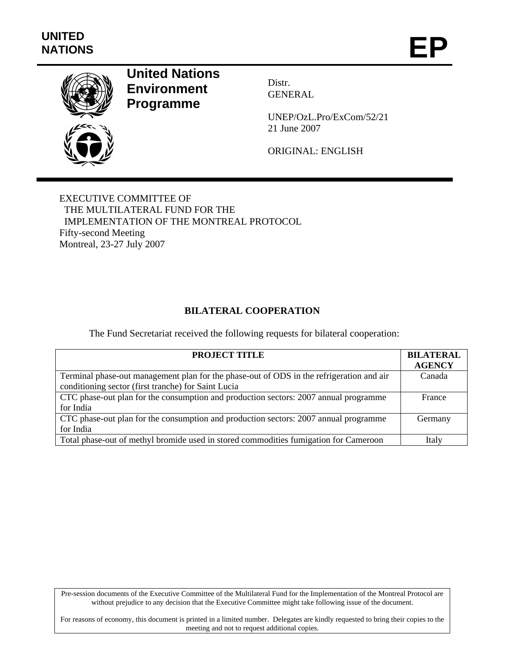

# **United Nations Environment Programme**

Distr. GENERAL

UNEP/OzL.Pro/ExCom/52/21 21 June 2007

ORIGINAL: ENGLISH

EXECUTIVE COMMITTEE OF THE MULTILATERAL FUND FOR THE IMPLEMENTATION OF THE MONTREAL PROTOCOL Fifty-second Meeting Montreal, 23-27 July 2007

# **BILATERAL COOPERATION**

The Fund Secretariat received the following requests for bilateral cooperation:

| <b>PROJECT TITLE</b>                                                                                                                            | <b>BILATERAL</b><br><b>AGENCY</b> |
|-------------------------------------------------------------------------------------------------------------------------------------------------|-----------------------------------|
| Terminal phase-out management plan for the phase-out of ODS in the refrigeration and air<br>conditioning sector (first tranche) for Saint Lucia | Canada                            |
|                                                                                                                                                 |                                   |
| CTC phase-out plan for the consumption and production sectors: 2007 annual programme                                                            | France                            |
| for India                                                                                                                                       |                                   |
| CTC phase-out plan for the consumption and production sectors: 2007 annual programme                                                            | Germany                           |
| for India                                                                                                                                       |                                   |
| Total phase-out of methyl bromide used in stored commodities fumigation for Cameroon                                                            | Italy                             |

Pre-session documents of the Executive Committee of the Multilateral Fund for the Implementation of the Montreal Protocol are without prejudice to any decision that the Executive Committee might take following issue of the document.

For reasons of economy, this document is printed in a limited number. Delegates are kindly requested to bring their copies to the meeting and not to request additional copies.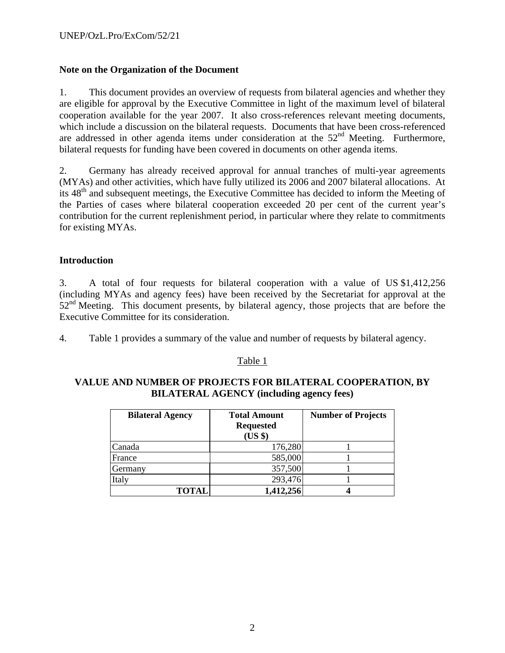## **Note on the Organization of the Document**

1. This document provides an overview of requests from bilateral agencies and whether they are eligible for approval by the Executive Committee in light of the maximum level of bilateral cooperation available for the year 2007. It also cross-references relevant meeting documents, which include a discussion on the bilateral requests. Documents that have been cross-referenced are addressed in other agenda items under consideration at the 52<sup>nd</sup> Meeting. Furthermore, bilateral requests for funding have been covered in documents on other agenda items.

2. Germany has already received approval for annual tranches of multi-year agreements (MYAs) and other activities, which have fully utilized its 2006 and 2007 bilateral allocations. At its 48<sup>th</sup> and subsequent meetings, the Executive Committee has decided to inform the Meeting of the Parties of cases where bilateral cooperation exceeded 20 per cent of the current year's contribution for the current replenishment period, in particular where they relate to commitments for existing MYAs.

## **Introduction**

3. A total of four requests for bilateral cooperation with a value of US \$1,412,256 (including MYAs and agency fees) have been received by the Secretariat for approval at the  $52<sup>nd</sup>$  Meeting. This document presents, by bilateral agency, those projects that are before the Executive Committee for its consideration.

4. Table 1 provides a summary of the value and number of requests by bilateral agency.

#### Table 1

## **VALUE AND NUMBER OF PROJECTS FOR BILATERAL COOPERATION, BY BILATERAL AGENCY (including agency fees)**

| <b>Bilateral Agency</b> | <b>Total Amount</b><br><b>Requested</b><br>(US \$) | <b>Number of Projects</b> |
|-------------------------|----------------------------------------------------|---------------------------|
| Canada                  | 176,280                                            |                           |
| France                  | 585,000                                            |                           |
| Germany                 | 357,500                                            |                           |
| Italy                   | 293,476                                            |                           |
| <b>TOTAL</b>            | 1,412,256                                          |                           |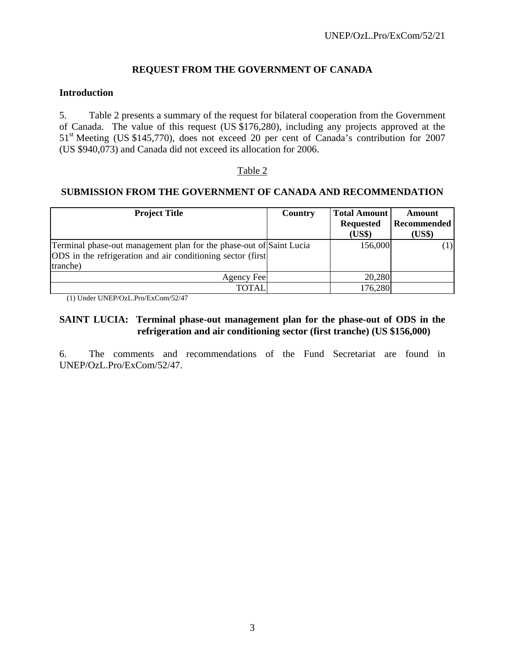## **REQUEST FROM THE GOVERNMENT OF CANADA**

#### **Introduction**

5. Table 2 presents a summary of the request for bilateral cooperation from the Government of Canada. The value of this request (US \$176,280), including any projects approved at the 51st Meeting (US \$145,770), does not exceed 20 per cent of Canada's contribution for 2007 (US \$940,073) and Canada did not exceed its allocation for 2006.

#### Table 2

#### **SUBMISSION FROM THE GOVERNMENT OF CANADA AND RECOMMENDATION**

| <b>Project Title</b>                                                                                                                            | <b>Country</b> | <b>Total Amount</b><br><b>Requested</b><br>(US\$) | Amount<br><b>Recommended</b><br>(US\$) |
|-------------------------------------------------------------------------------------------------------------------------------------------------|----------------|---------------------------------------------------|----------------------------------------|
| Terminal phase-out management plan for the phase-out of Saint Lucia<br>ODS in the refrigeration and air conditioning sector (first)<br>tranche) |                | 156,000                                           | (1)                                    |
| Agency Fee                                                                                                                                      |                | 20,280                                            |                                        |
| TOTAL                                                                                                                                           |                | 176,280                                           |                                        |

(1) Under UNEP/OzL.Pro/ExCom/52/47

## **SAINT LUCIA: Terminal phase-out management plan for the phase-out of ODS in the refrigeration and air conditioning sector (first tranche) (US \$156,000)**

6. The comments and recommendations of the Fund Secretariat are found in UNEP/OzL.Pro/ExCom/52/47.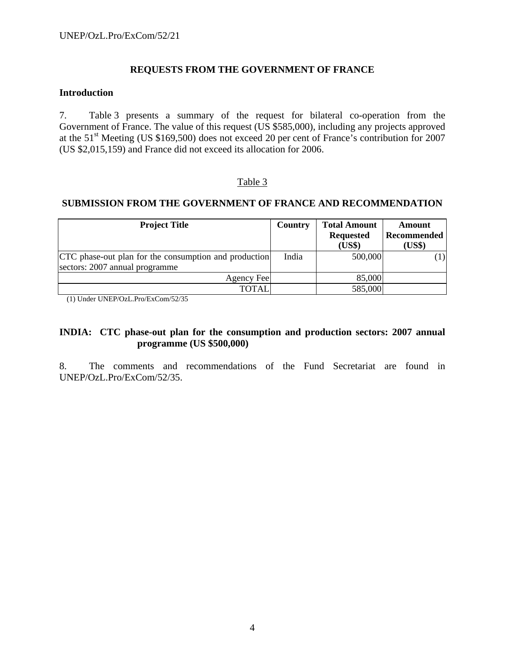## **REQUESTS FROM THE GOVERNMENT OF FRANCE**

#### **Introduction**

7. Table 3 presents a summary of the request for bilateral co-operation from the Government of France. The value of this request (US \$585,000), including any projects approved at the 51<sup>st</sup> Meeting (US \$169,500) does not exceed 20 per cent of France's contribution for 2007 (US \$2,015,159) and France did not exceed its allocation for 2006.

## Table 3

#### **SUBMISSION FROM THE GOVERNMENT OF FRANCE AND RECOMMENDATION**

| <b>Project Title</b>                                  | <b>Country</b> | <b>Total Amount</b> | Amount      |
|-------------------------------------------------------|----------------|---------------------|-------------|
|                                                       |                | <b>Requested</b>    | Recommended |
|                                                       |                | (US\$)              | (US\$)      |
| CTC phase-out plan for the consumption and production | India          | 500,000             | $ 1\rangle$ |
| sectors: 2007 annual programme                        |                |                     |             |
| Agency Fee                                            |                | 85,000              |             |
| <b>TOTAL</b>                                          |                | 585,000             |             |

(1) Under UNEP/OzL.Pro/ExCom/52/35

#### **INDIA: CTC phase-out plan for the consumption and production sectors: 2007 annual programme (US \$500,000)**

8. The comments and recommendations of the Fund Secretariat are found in UNEP/OzL.Pro/ExCom/52/35.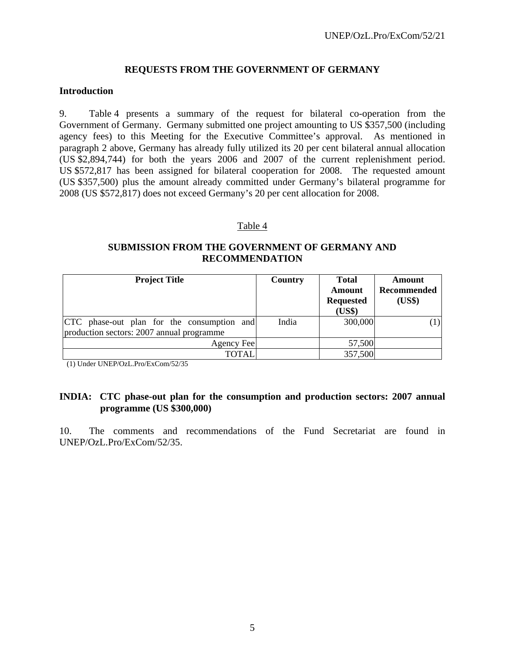## **REQUESTS FROM THE GOVERNMENT OF GERMANY**

#### **Introduction**

9. Table 4 presents a summary of the request for bilateral co-operation from the Government of Germany. Germany submitted one project amounting to US \$357,500 (including agency fees) to this Meeting for the Executive Committee's approval. As mentioned in paragraph 2 above, Germany has already fully utilized its 20 per cent bilateral annual allocation (US \$2,894,744) for both the years 2006 and 2007 of the current replenishment period. US \$572,817 has been assigned for bilateral cooperation for 2008. The requested amount (US \$357,500) plus the amount already committed under Germany's bilateral programme for 2008 (US \$572,817) does not exceed Germany's 20 per cent allocation for 2008.

#### Table 4

## **SUBMISSION FROM THE GOVERNMENT OF GERMANY AND RECOMMENDATION**

| <b>Project Title</b>                                                                    | Country | <b>Total</b><br><b>Amount</b><br><b>Requested</b><br>(US\$) | Amount<br>Recommended<br>(US\$) |
|-----------------------------------------------------------------------------------------|---------|-------------------------------------------------------------|---------------------------------|
| CTC phase-out plan for the consumption and<br>production sectors: 2007 annual programme | India   | 300,000                                                     |                                 |
| Agency Fee                                                                              |         | 57,500                                                      |                                 |
| <b>TOTAL</b>                                                                            |         | 357,500                                                     |                                 |

(1) Under UNEP/OzL.Pro/ExCom/52/35

#### **INDIA: CTC phase-out plan for the consumption and production sectors: 2007 annual programme (US \$300,000)**

10. The comments and recommendations of the Fund Secretariat are found in UNEP/OzL.Pro/ExCom/52/35.